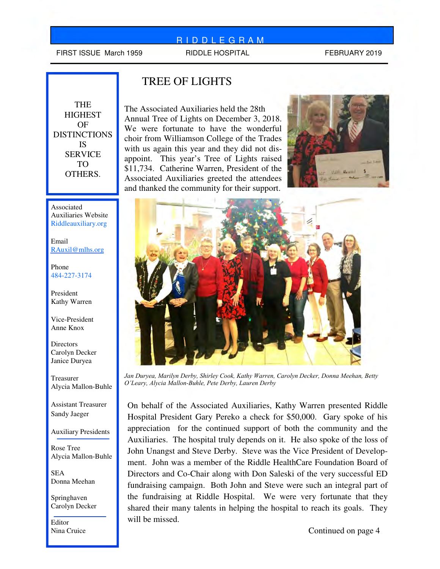### R I D D L E G R A M

FIRST ISSUE March 1959 RIDDLE HOSPITAL FIRST ISSUE March 1959

# TREE OF LIGHTS

**THE HIGHEST** OF **DISTINCTIONS** IS SERVICE TO OTHERS.

#### Associated Auxiliaries Website Riddleauxiliary.org

Email RAuxil@mlhs.org

Phone 484-227-3174

President Kathy Warren

Vice-President Anne Knox

**Directors** Carolyn Decker Janice Duryea

Treasurer Alycia Mallon-Buhle

Assistant Treasurer Sandy Jaeger

Auxiliary Presidents

Rose Tree Alycia Mallon-Buhle

SEA Donna Meehan

Springhaven Carolyn Decker

Editor Nina Cruice

The Associated Auxiliaries held the 28th Annual Tree of Lights on December 3, 2018. We were fortunate to have the wonderful choir from Williamson College of the Trades with us again this year and they did not disappoint. This year's Tree of Lights raised \$11,734. Catherine Warren, President of the Associated Auxiliaries greeted the attendees and thanked the community for their support.





*Jan Duryea, Marilyn Derby, Shirley Cook, Kathy Warren, Carolyn Decker, Donna Meehan, Betty O'Leary, Alycia Mallon-Buhle, Pete Derby, Lauren Derby* 

On behalf of the Associated Auxiliaries, Kathy Warren presented Riddle Hospital President Gary Pereko a check for \$50,000. Gary spoke of his appreciation for the continued support of both the community and the Auxiliaries. The hospital truly depends on it. He also spoke of the loss of John Unangst and Steve Derby. Steve was the Vice President of Development. John was a member of the Riddle HealthCare Foundation Board of Directors and Co-Chair along with Don Saleski of the very successful ED fundraising campaign. Both John and Steve were such an integral part of the fundraising at Riddle Hospital. We were very fortunate that they shared their many talents in helping the hospital to reach its goals. They will be missed.

Continued on page 4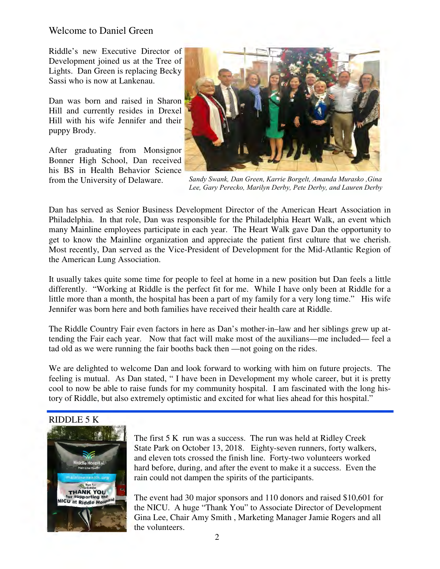## Welcome to Daniel Green

Riddle's new Executive Director of Development joined us at the Tree of Lights. Dan Green is replacing Becky Sassi who is now at Lankenau.

Dan was born and raised in Sharon Hill and currently resides in Drexel Hill with his wife Jennifer and their puppy Brody.

After graduating from Monsignor Bonner High School, Dan received his BS in Health Behavior Science from the University of Delaware.



*Sandy Swank, Dan Green, Karrie Borgelt, Amanda Murasko ,Gina Lee, Gary Perecko, Marilyn Derby, Pete Derby, and Lauren Derby* 

Dan has served as Senior Business Development Director of the American Heart Association in Philadelphia. In that role, Dan was responsible for the Philadelphia Heart Walk, an event which many Mainline employees participate in each year. The Heart Walk gave Dan the opportunity to get to know the Mainline organization and appreciate the patient first culture that we cherish. Most recently, Dan served as the Vice-President of Development for the Mid-Atlantic Region of the American Lung Association.

It usually takes quite some time for people to feel at home in a new position but Dan feels a little differently. "Working at Riddle is the perfect fit for me. While I have only been at Riddle for a little more than a month, the hospital has been a part of my family for a very long time." His wife Jennifer was born here and both families have received their health care at Riddle.

The Riddle Country Fair even factors in here as Dan's mother-in–law and her siblings grew up attending the Fair each year. Now that fact will make most of the auxilians—me included— feel a tad old as we were running the fair booths back then —not going on the rides.

We are delighted to welcome Dan and look forward to working with him on future projects. The feeling is mutual. As Dan stated, " I have been in Development my whole career, but it is pretty cool to now be able to raise funds for my community hospital. I am fascinated with the long history of Riddle, but also extremely optimistic and excited for what lies ahead for this hospital."

### RIDDLE 5 K



The first 5 K run was a success. The run was held at Ridley Creek State Park on October 13, 2018. Eighty-seven runners, forty walkers, and eleven tots crossed the finish line. Forty-two volunteers worked hard before, during, and after the event to make it a success. Even the rain could not dampen the spirits of the participants.

The event had 30 major sponsors and 110 donors and raised \$10,601 for the NICU. A huge "Thank You" to Associate Director of Development Gina Lee, Chair Amy Smith , Marketing Manager Jamie Rogers and all the volunteers.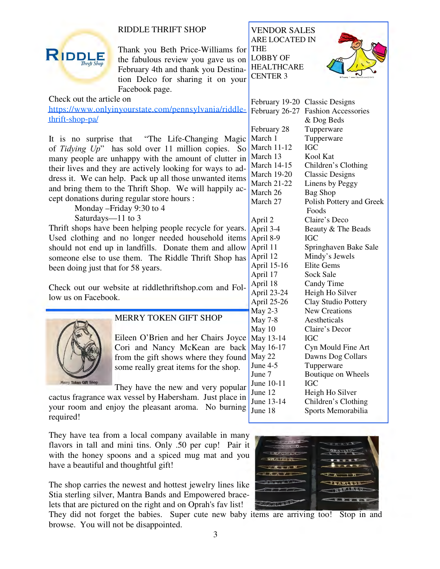

RIDDLE THRIFT SHOP

Thank you Beth Price-Williams for THE CENTER 3 the fabulous review you gave us on February 4th and thank you Destination Delco for sharing it on your Facebook page.

# VENDOR SALES ARE LOCATED IN LOBBY OF HEALTHCARE



Check out the article on

https://www.onlyinyourstate.com/pennsylvania/riddlethrift-shop-pa/

It is no surprise that "The Life-Changing Magic of *Tidying Up*" has sold over 11 million copies. So many people are unhappy with the amount of clutter in their lives and they are actively looking for ways to address it. We can help. Pack up all those unwanted items and bring them to the Thrift Shop. We will happily accept donations during regular store hours :

Monday –Friday 9:30 to 4

Saturdays—11 to 3

Thrift shops have been helping people recycle for years.  $\overrightarrow{A}$ Used clothing and no longer needed household items A should not end up in landfills. Donate them and allow someone else to use them. The Riddle Thrift Shop has been doing just that for 58 years.

Check out our website at riddlethriftshop.com and Follow us on Facebook.



## MERRY TOKEN GIFT SHOP

Eileen O'Brien and her Chairs Joyce Cori and Nancy McKean are back from the gift shows where they found some really great items for the shop.

They have the new and very popular

cactus fragrance wax vessel by Habersham. Just place in your room and enjoy the pleasant aroma. No burning required!

They have tea from a local company available in many flavors in tall and mini tins. Only .50 per cup! Pair it with the honey spoons and a spiced mug mat and you have a beautiful and thoughtful gift!

The shop carries the newest and hottest jewelry lines like Stia sterling silver, Mantra Bands and Empowered bracelets that are pictured on the right and on Oprah's fav list!

They did not forget the babies. Super cute new baby items are arriving too! Stop in and browse. You will not be disappointed.



| February 19-20     | <b>Classic Designs</b>     |
|--------------------|----------------------------|
| February 26-27     | <b>Fashion Accessories</b> |
|                    | & Dog Beds                 |
| February 28        | Tupperware                 |
| March 1            | Tupperware                 |
| <b>March 11-12</b> | IGC                        |
| March 13           | Kool Kat                   |
| <b>March 14-15</b> | Children's Clothing        |
| March 19-20        | <b>Classic Designs</b>     |
| <b>March 21-22</b> | Linens by Peggy            |
| March 26           | <b>Bag Shop</b>            |
| March 27           | Polish Pottery and G       |
|                    | Foods                      |
| April 2            | Claire's Deco              |
| April 3-4          | Beauty & The Beads         |
| April 8-9          | IGC                        |
| April 11           | Springhaven Bake Sa        |
| $\Lambda$ nril 12  | Mindy's Iawals             |

March 14-15 Children's Clothing March 19-20 Classic Designs March 21-22 Linens by Peggy March 27 Polish Pottery and Greek uty & The Beads April 11 Springhaven Bake Sale April 12 Mindy's Jewels April 15-16 Elite Gems April 17 Sock Sale April 18 Candy Time April 23-24 Heigh Ho Silver April 25-26 Clay Studio Pottery May 2-3 New Creations May 7-8 Aestheticals May 10 Claire's Decor May 13-14 IGC May 16-17 Cyn Mould Fine Art May 22 Dawns Dog Collars June 4-5 Tupperware June 7 Boutique on Wheels June 10-11 IGC June 12 Heigh Ho Silver

June 13-14 Children's Clothing June 18 Sports Memorabilia